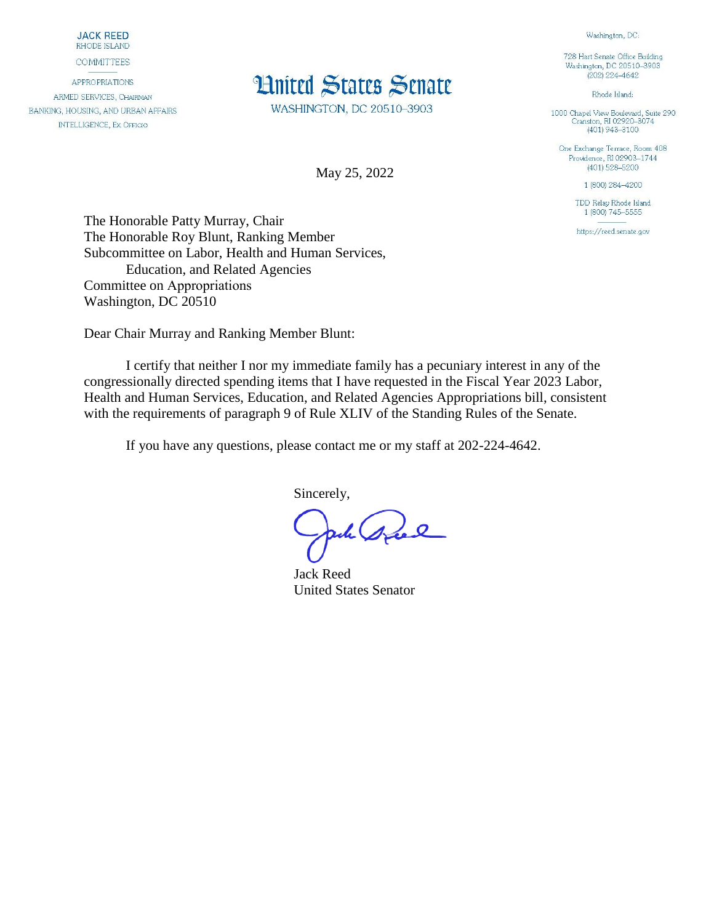**JACK REED** RHODE ISLAND

**COMMITTEES** 

**APPROPRIATIONS** ARMED SERVICES, CHAIRMAN BANKING, HOUSING, AND URBAN AFFAIRS **INTELLIGENCE, EX OFFICIO** 

## **Hnited States Senate**

WASHINGTON, DC 20510-3903

May 25, 2022

728 Hart Senate Office Building Washington, DC 20510-3903  $(202)$  224-4642

Washington, DC:

Rhode Island:

1000 Chapel View Boulevard, Suite 290<br>Cranston, RI 02920-3074  $(401)$  943-3100

One Exchange Terrace, Room 408 Providence, RI 02903-1744  $(401)$  528-5200

1 (800) 284-4200

TDD Relay Rhode Island 1 (800) 745-5555

https://reed.senate.gov

The Honorable Patty Murray, Chair The Honorable Roy Blunt, Ranking Member Subcommittee on Labor, Health and Human Services, Education, and Related Agencies Committee on Appropriations Washington, DC 20510

Dear Chair Murray and Ranking Member Blunt:

I certify that neither I nor my immediate family has a pecuniary interest in any of the congressionally directed spending items that I have requested in the Fiscal Year 2023 Labor, Health and Human Services, Education, and Related Agencies Appropriations bill, consistent with the requirements of paragraph 9 of Rule XLIV of the Standing Rules of the Senate.

If you have any questions, please contact me or my staff at 202-224-4642.

Sincerely,

wh speel

Jack Reed United States Senator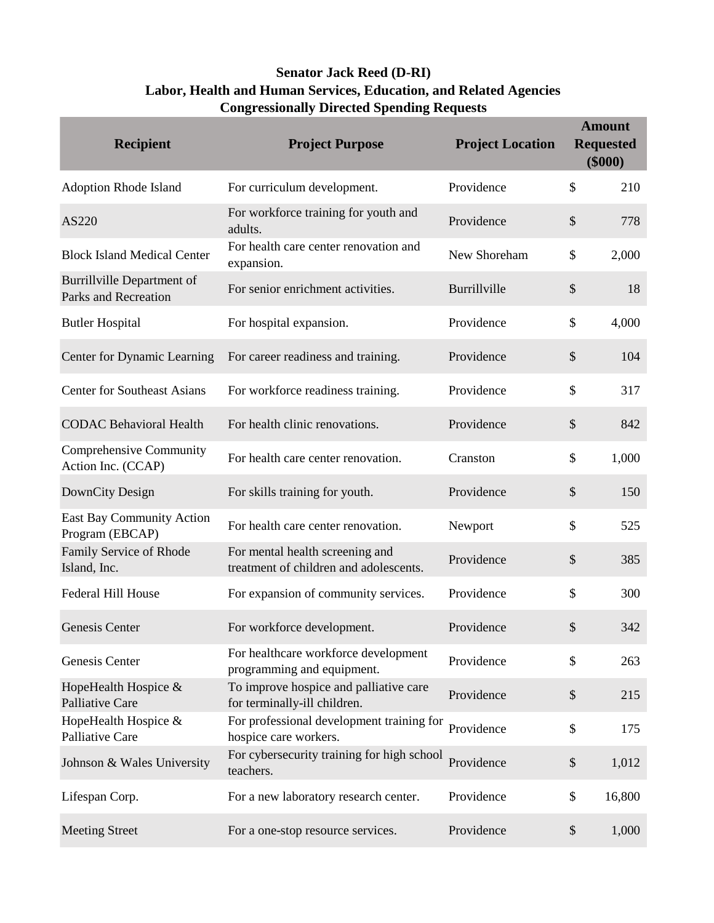## **Senator Jack Reed (D-RI) Labor, Health and Human Services, Education, and Related Agencies Congressionally Directed Spending Requests**

| <b>Recipient</b>                                          | <b>Project Purpose</b>                                                    | <b>Project Location</b> |                           | <b>Amount</b><br><b>Requested</b><br>\$000 |
|-----------------------------------------------------------|---------------------------------------------------------------------------|-------------------------|---------------------------|--------------------------------------------|
| <b>Adoption Rhode Island</b>                              | For curriculum development.                                               | Providence              | \$                        | 210                                        |
| AS220                                                     | For workforce training for youth and<br>adults.                           | Providence              | $\mathcal{S}$             | 778                                        |
| <b>Block Island Medical Center</b>                        | For health care center renovation and<br>expansion.                       | New Shoreham            | $\mathcal{S}$             | 2,000                                      |
| <b>Burrillville Department of</b><br>Parks and Recreation | For senior enrichment activities.                                         | Burrillville            | $\$\$                     | 18                                         |
| <b>Butler Hospital</b>                                    | For hospital expansion.                                                   | Providence              | \$                        | 4,000                                      |
| Center for Dynamic Learning                               | For career readiness and training.                                        | Providence              | $\$\$                     | 104                                        |
| <b>Center for Southeast Asians</b>                        | For workforce readiness training.                                         | Providence              | \$                        | 317                                        |
| <b>CODAC Behavioral Health</b>                            | For health clinic renovations.                                            | Providence              | $\$\$                     | 842                                        |
| Comprehensive Community<br>Action Inc. (CCAP)             | For health care center renovation.                                        | Cranston                | \$                        | 1,000                                      |
| DownCity Design                                           | For skills training for youth.                                            | Providence              | $\mathcal{S}$             | 150                                        |
| <b>East Bay Community Action</b><br>Program (EBCAP)       | For health care center renovation.                                        | Newport                 | $\boldsymbol{\mathsf{S}}$ | 525                                        |
| Family Service of Rhode<br>Island, Inc.                   | For mental health screening and<br>treatment of children and adolescents. | Providence              | $\$\$                     | 385                                        |
| <b>Federal Hill House</b>                                 | For expansion of community services.                                      | Providence              | $\boldsymbol{\mathsf{S}}$ | 300                                        |
| Genesis Center                                            | For workforce development.                                                | Providence              | \$                        | 342                                        |
| Genesis Center                                            | For healthcare workforce development<br>programming and equipment.        | Providence              | \$                        | 263                                        |
| HopeHealth Hospice &<br>Palliative Care                   | To improve hospice and palliative care<br>for terminally-ill children.    | Providence              | $\$\$                     | 215                                        |
| HopeHealth Hospice &<br>Palliative Care                   | For professional development training for<br>hospice care workers.        | Providence              | \$                        | 175                                        |
| Johnson & Wales University                                | For cybersecurity training for high school<br>teachers.                   | Providence              | $\$$                      | 1,012                                      |
| Lifespan Corp.                                            | For a new laboratory research center.                                     | Providence              | \$                        | 16,800                                     |
| <b>Meeting Street</b>                                     | For a one-stop resource services.                                         | Providence              | $\$\,$                    | 1,000                                      |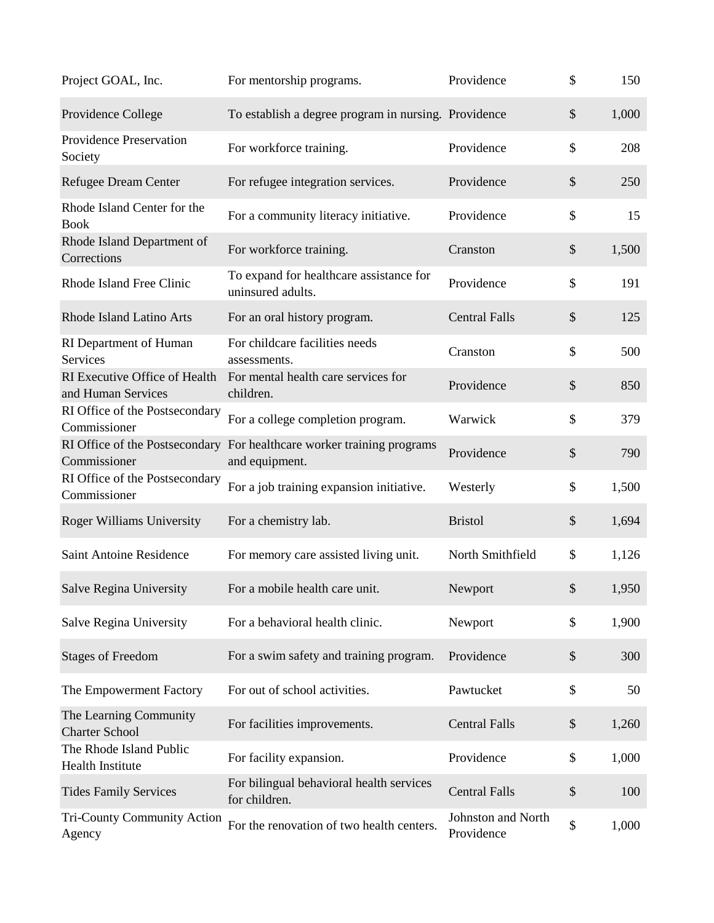| Project GOAL, Inc.                                  | For mentorship programs.                                     | Providence                       | \$                        | 150   |
|-----------------------------------------------------|--------------------------------------------------------------|----------------------------------|---------------------------|-------|
| Providence College                                  | To establish a degree program in nursing. Providence         |                                  | $\boldsymbol{\mathsf{S}}$ | 1,000 |
| <b>Providence Preservation</b><br>Society           | For workforce training.                                      | Providence                       | \$                        | 208   |
| <b>Refugee Dream Center</b>                         | For refugee integration services.                            | Providence                       | $\boldsymbol{\mathsf{S}}$ | 250   |
| Rhode Island Center for the<br><b>Book</b>          | For a community literacy initiative.                         | Providence                       | \$                        | 15    |
| Rhode Island Department of<br>Corrections           | For workforce training.                                      | Cranston                         | $\boldsymbol{\mathsf{S}}$ | 1,500 |
| Rhode Island Free Clinic                            | To expand for healthcare assistance for<br>uninsured adults. | Providence                       | \$                        | 191   |
| Rhode Island Latino Arts                            | For an oral history program.                                 | <b>Central Falls</b>             | $\boldsymbol{\mathsf{S}}$ | 125   |
| RI Department of Human<br>Services                  | For childcare facilities needs<br>assessments.               | Cranston                         | \$                        | 500   |
| RI Executive Office of Health<br>and Human Services | For mental health care services for<br>children.             | Providence                       | $\boldsymbol{\mathsf{S}}$ | 850   |
| RI Office of the Postsecondary<br>Commissioner      | For a college completion program.                            | Warwick                          | \$                        | 379   |
| RI Office of the Postsecondary<br>Commissioner      | For healthcare worker training programs<br>and equipment.    | Providence                       | $\boldsymbol{\mathsf{S}}$ | 790   |
| RI Office of the Postsecondary<br>Commissioner      | For a job training expansion initiative.                     | Westerly                         | \$                        | 1,500 |
| Roger Williams University                           | For a chemistry lab.                                         | <b>Bristol</b>                   | $\boldsymbol{\$}$         | 1,694 |
| Saint Antoine Residence                             | For memory care assisted living unit.                        | North Smithfield                 | \$                        | 1,126 |
| Salve Regina University                             | For a mobile health care unit.                               | Newport                          | \$                        | 1,950 |
| Salve Regina University                             | For a behavioral health clinic.                              | Newport                          | \$                        | 1,900 |
| <b>Stages of Freedom</b>                            | For a swim safety and training program.                      | Providence                       | \$                        | 300   |
| The Empowerment Factory                             | For out of school activities.                                | Pawtucket                        | \$                        | 50    |
| The Learning Community<br><b>Charter School</b>     | For facilities improvements.                                 | <b>Central Falls</b>             | \$                        | 1,260 |
| The Rhode Island Public<br><b>Health Institute</b>  | For facility expansion.                                      | Providence                       | \$                        | 1,000 |
| <b>Tides Family Services</b>                        | For bilingual behavioral health services<br>for children.    | <b>Central Falls</b>             | $\boldsymbol{\mathsf{S}}$ | 100   |
| <b>Tri-County Community Action</b><br>Agency        | For the renovation of two health centers.                    | Johnston and North<br>Providence | \$                        | 1,000 |